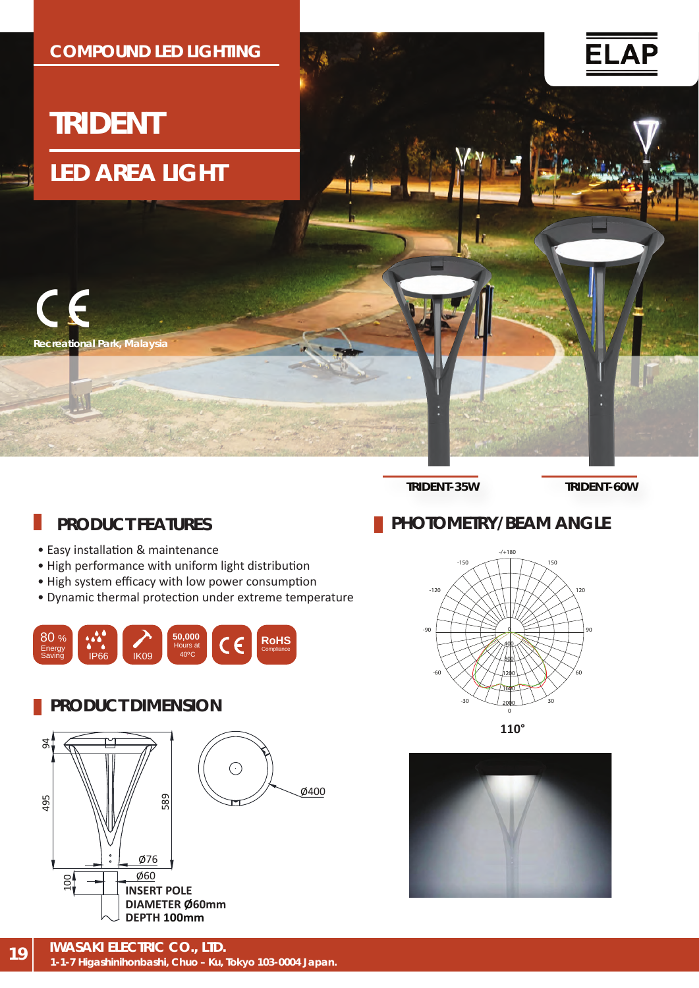

**TRIDENT-35W TRIDENT-60W**

## **PRODUCT FEATURES**

- Easy installation & maintenance
- High performance with uniform light distribution
- High system efficacy with low power consumption
- Dynamic thermal protec�on under extreme temperature



### **PRODUCT DIMENSION**





**PHOTOMETRY/BEAM ANGLE** 

**110°**